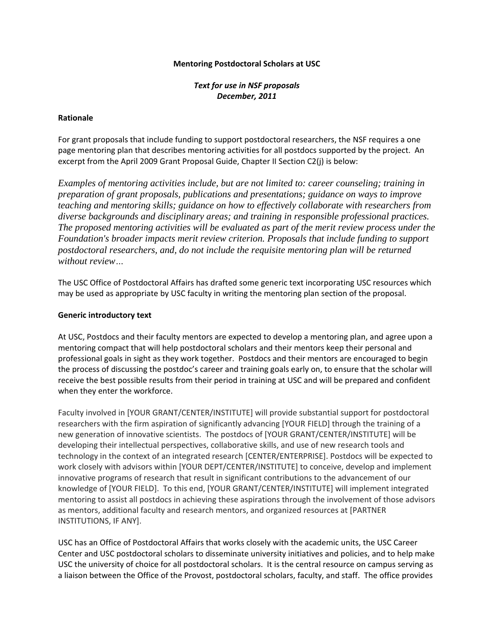### **Mentoring Postdoctoral Scholars at USC**

*Text for use in NSF proposals December, 2011*

#### **Rationale**

For grant proposals that include funding to support postdoctoral researchers, the NSF requires a one page mentoring plan that describes mentoring activities for all postdocs supported by the project. An excerpt from the April 2009 Grant Proposal Guide, Chapter II Section C2(j) is below:

*Examples of mentoring activities include, but are not limited to: career counseling; training in preparation of grant proposals, publications and presentations; guidance on ways to improve teaching and mentoring skills; guidance on how to effectively collaborate with researchers from diverse backgrounds and disciplinary areas; and training in responsible professional practices. The proposed mentoring activities will be evaluated as part of the merit review process under the Foundation's broader impacts merit review criterion. Proposals that include funding to support postdoctoral researchers, and, do not include the requisite mentoring plan will be returned without review…*

The USC Office of Postdoctoral Affairs has drafted some generic text incorporating USC resources which may be used as appropriate by USC faculty in writing the mentoring plan section of the proposal.

### **Generic introductory text**

At USC, Postdocs and their faculty mentors are expected to develop a mentoring plan, and agree upon a mentoring compact that will help postdoctoral scholars and their mentors keep their personal and professional goals in sight as they work together. Postdocs and their mentors are encouraged to begin the process of discussing the postdoc's career and training goals early on, to ensure that the scholar will receive the best possible results from their period in training at USC and will be prepared and confident when they enter the workforce.

Faculty involved in [YOUR GRANT/CENTER/INSTITUTE] will provide substantial support for postdoctoral researchers with the firm aspiration of significantly advancing [YOUR FIELD] through the training of a new generation of innovative scientists. The postdocs of [YOUR GRANT/CENTER/INSTITUTE] will be developing their intellectual perspectives, collaborative skills, and use of new research tools and technology in the context of an integrated research [CENTER/ENTERPRISE]. Postdocs will be expected to work closely with advisors within [YOUR DEPT/CENTER/INSTITUTE] to conceive, develop and implement innovative programs of research that result in significant contributions to the advancement of our knowledge of [YOUR FIELD]. To this end, [YOUR GRANT/CENTER/INSTITUTE] will implement integrated mentoring to assist all postdocs in achieving these aspirations through the involvement of those advisors as mentors, additional faculty and research mentors, and organized resources at [PARTNER INSTITUTIONS, IF ANY].

USC has an Office of Postdoctoral Affairs that works closely with the academic units, the USC Career Center and USC postdoctoral scholars to disseminate university initiatives and policies, and to help make USC the university of choice for all postdoctoral scholars. It is the central resource on campus serving as a liaison between the Office of the Provost, postdoctoral scholars, faculty, and staff. The office provides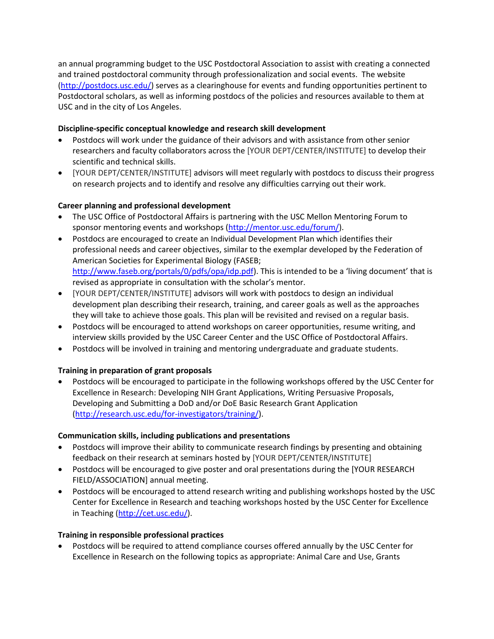an annual programming budget to the USC Postdoctoral Association to assist with creating a connected and trained postdoctoral community through professionalization and social events. The website [\(http://postdocs.usc.edu/\)](http://postdocs.usc.edu/) serves as a clearinghouse for events and funding opportunities pertinent to Postdoctoral scholars, as well as informing postdocs of the policies and resources available to them at USC and in the city of Los Angeles.

## **Discipline-specific conceptual knowledge and research skill development**

- Postdocs will work under the guidance of their advisors and with assistance from other senior researchers and faculty collaborators across the [YOUR DEPT/CENTER/INSTITUTE] to develop their scientific and technical skills.
- [YOUR DEPT/CENTER/INSTITUTE] advisors will meet regularly with postdocs to discuss their progress on research projects and to identify and resolve any difficulties carrying out their work.

# **Career planning and professional development**

- The USC Office of Postdoctoral Affairs is partnering with the USC Mellon Mentoring Forum to sponsor mentoring events and workshops [\(http://mentor.usc.edu/forum/\)](http://mentor.usc.edu/forum/).
- Postdocs are encouraged to create an Individual Development Plan which identifies their professional needs and career objectives, similar to the exemplar developed by the Federation of American Societies for Experimental Biology (FASEB; [http://www.faseb.org/portals/0/pdfs/opa/idp.pdf\)](http://www.faseb.org/portals/0/pdfs/opa/idp.pdf). This is intended to be a 'living document' that is revised as appropriate in consultation with the scholar's mentor.
- [YOUR DEPT/CENTER/INSTITUTE] advisors will work with postdocs to design an individual development plan describing their research, training, and career goals as well as the approaches they will take to achieve those goals. This plan will be revisited and revised on a regular basis.
- Postdocs will be encouraged to attend workshops on career opportunities, resume writing, and interview skills provided by the USC Career Center and the USC Office of Postdoctoral Affairs.
- Postdocs will be involved in training and mentoring undergraduate and graduate students.

# **Training in preparation of grant proposals**

 Postdocs will be encouraged to participate in the following workshops offered by the USC Center for Excellence in Research: Developing NIH Grant Applications, Writing Persuasive Proposals, Developing and Submitting a DoD and/or DoE Basic Research Grant Application [\(http://research.usc.edu/for-investigators/training/\)](http://research.usc.edu/for-investigators/training/).

### **Communication skills, including publications and presentations**

- Postdocs will improve their ability to communicate research findings by presenting and obtaining feedback on their research at seminars hosted by [YOUR DEPT/CENTER/INSTITUTE]
- Postdocs will be encouraged to give poster and oral presentations during the [YOUR RESEARCH FIELD/ASSOCIATION] annual meeting.
- Postdocs will be encouraged to attend research writing and publishing workshops hosted by the USC Center for Excellence in Research and teaching workshops hosted by the USC Center for Excellence in Teaching [\(http://cet.usc.edu/\)](http://cet.usc.edu/).

### **Training in responsible professional practices**

 Postdocs will be required to attend compliance courses offered annually by the USC Center for Excellence in Research on the following topics as appropriate: Animal Care and Use, Grants